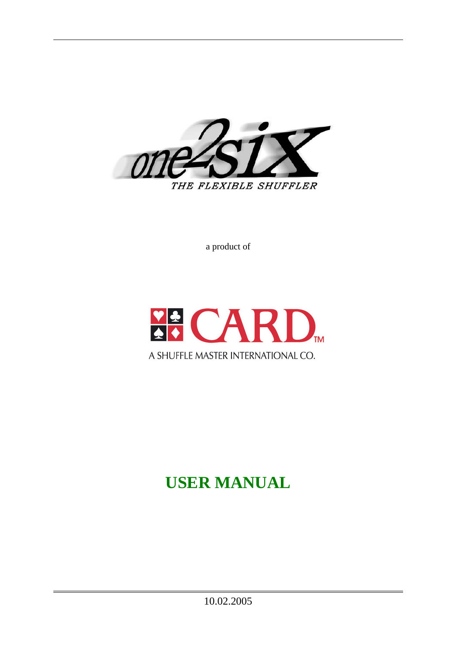

a product of



# **USER MANUAL**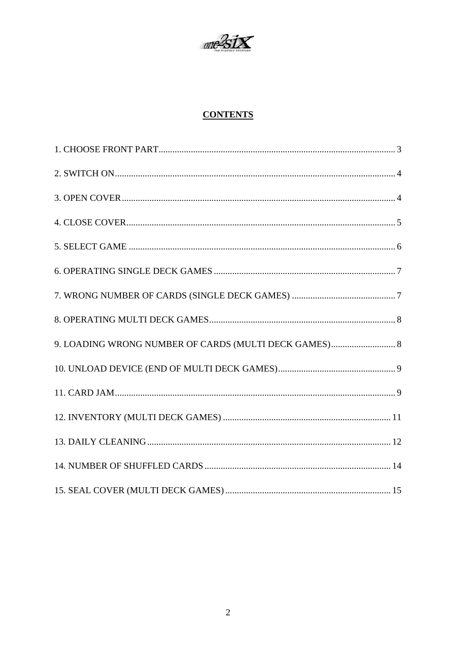

# **CONTENTS**

| 9. LOADING WRONG NUMBER OF CARDS (MULTI DECK GAMES) 8 |  |
|-------------------------------------------------------|--|
|                                                       |  |
|                                                       |  |
|                                                       |  |
|                                                       |  |
|                                                       |  |
|                                                       |  |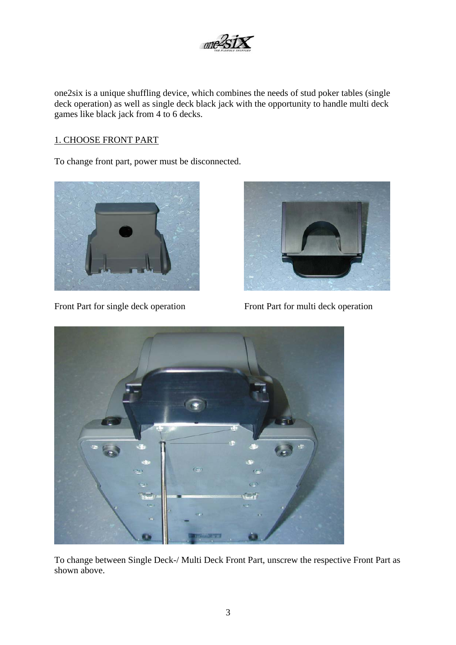

<span id="page-2-0"></span>one2six is a unique shuffling device, which combines the needs of stud poker tables (single deck operation) as well as single deck black jack with the opportunity to handle multi deck games like black jack from 4 to 6 decks.

## 1. CHOOSE FRONT PART

To change front part, power must be disconnected.



Front Part for single deck operation Front Part for multi deck operation





To change between Single Deck-/ Multi Deck Front Part, unscrew the respective Front Part as shown above.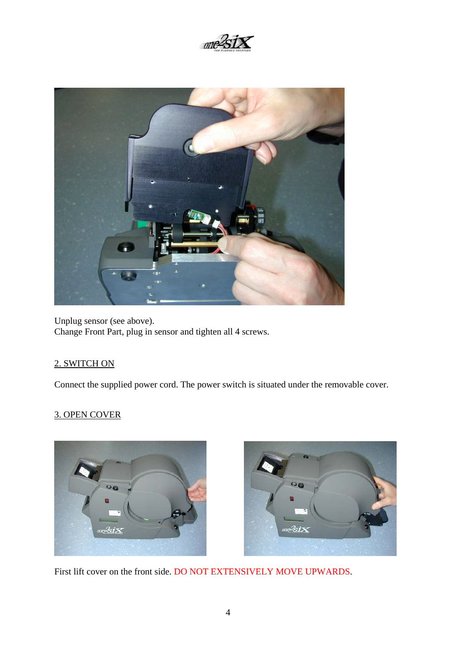

<span id="page-3-0"></span>

Unplug sensor (see above). Change Front Part, plug in sensor and tighten all 4 screws.

## 2. SWITCH ON

Connect the supplied power cord. The power switch is situated under the removable cover.

## 3. OPEN COVER





First lift cover on the front side. DO NOT EXTENSIVELY MOVE UPWARDS.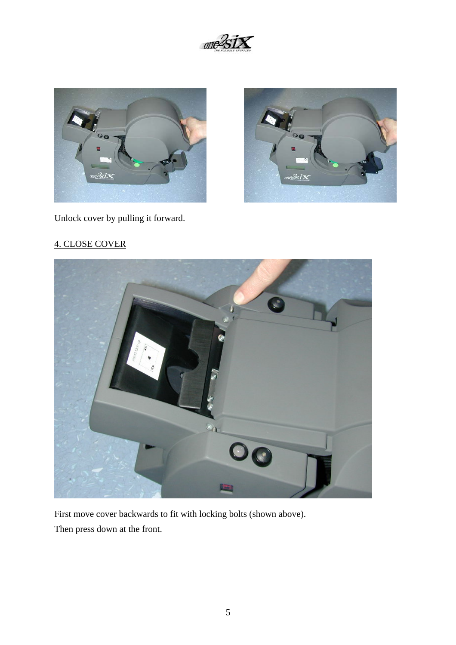

<span id="page-4-0"></span>



Unlock cover by pulling it forward.

# 4. CLOSE COVER



First move cover backwards to fit with locking bolts (shown above).

Then press down at the front.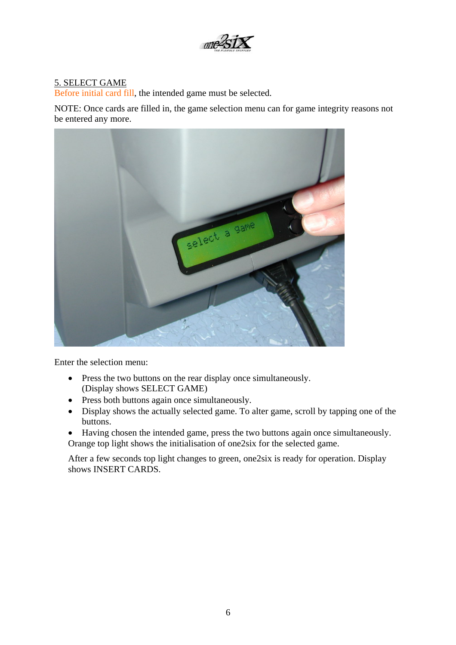

## <span id="page-5-0"></span>5. SELECT GAME

Before initial card fill, the intended game must be selected.

NOTE: Once cards are filled in, the game selection menu can for game integrity reasons not be entered any more.



Enter the selection menu:

- Press the two buttons on the rear display once simultaneously. (Display shows SELECT GAME)
- Press both buttons again once simultaneously.
- Display shows the actually selected game. To alter game, scroll by tapping one of the buttons.
- Having chosen the intended game, press the two buttons again once simultaneously. Orange top light shows the initialisation of one2six for the selected game.

After a few seconds top light changes to green, one2six is ready for operation. Display shows INSERT CARDS.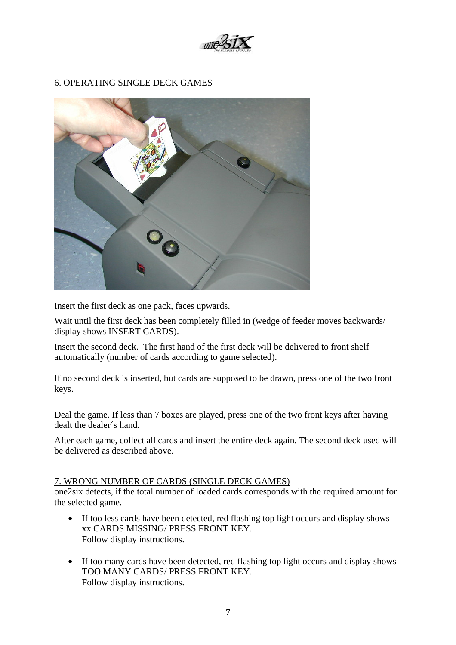

## <span id="page-6-0"></span>6. OPERATING SINGLE DECK GAMES



Insert the first deck as one pack, faces upwards.

Wait until the first deck has been completely filled in (wedge of feeder moves backwards/ display shows INSERT CARDS).

Insert the second deck. The first hand of the first deck will be delivered to front shelf automatically (number of cards according to game selected).

If no second deck is inserted, but cards are supposed to be drawn, press one of the two front keys.

Deal the game. If less than 7 boxes are played, press one of the two front keys after having dealt the dealer´s hand.

After each game, collect all cards and insert the entire deck again. The second deck used will be delivered as described above.

#### 7. WRONG NUMBER OF CARDS (SINGLE DECK GAMES)

one2six detects, if the total number of loaded cards corresponds with the required amount for the selected game.

- If too less cards have been detected, red flashing top light occurs and display shows xx CARDS MISSING/ PRESS FRONT KEY. Follow display instructions.
- If too many cards have been detected, red flashing top light occurs and display shows TOO MANY CARDS/ PRESS FRONT KEY. Follow display instructions.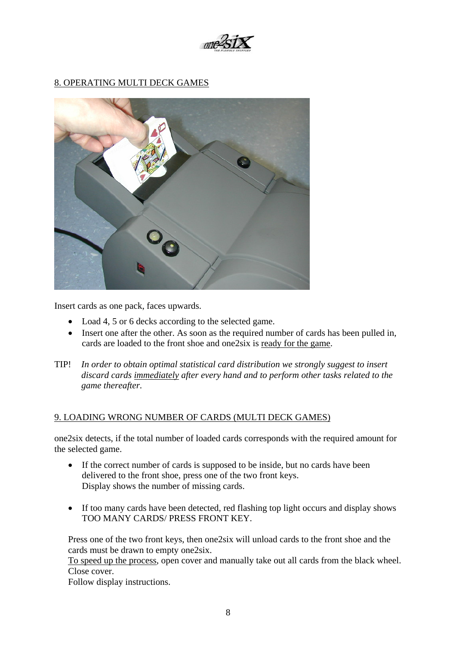

## <span id="page-7-0"></span>8. OPERATING MULTI DECK GAMES



Insert cards as one pack, faces upwards.

- Load 4, 5 or 6 decks according to the selected game.
- Insert one after the other. As soon as the required number of cards has been pulled in, cards are loaded to the front shoe and one2six is ready for the game.
- TIP! *In order to obtain optimal statistical card distribution we strongly suggest to insert discard cards immediately after every hand and to perform other tasks related to the game thereafter.*

#### 9. LOADING WRONG NUMBER OF CARDS (MULTI DECK GAMES)

one2six detects, if the total number of loaded cards corresponds with the required amount for the selected game.

- If the correct number of cards is supposed to be inside, but no cards have been delivered to the front shoe, press one of the two front keys. Display shows the number of missing cards.
- If too many cards have been detected, red flashing top light occurs and display shows TOO MANY CARDS/ PRESS FRONT KEY.

Press one of the two front keys, then one2six will unload cards to the front shoe and the cards must be drawn to empty one2six.

To speed up the process, open cover and manually take out all cards from the black wheel. Close cover.

Follow display instructions.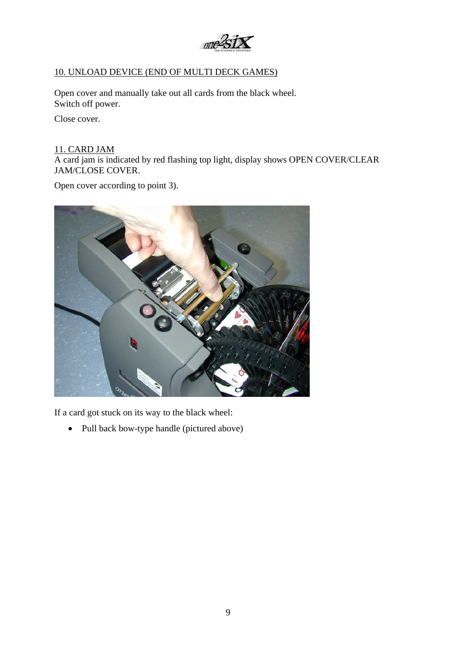

## <span id="page-8-0"></span>10. UNLOAD DEVICE (END OF MULTI DECK GAMES)

Open cover and manually take out all cards from the black wheel. Switch off power.

Close cover.

#### 11. CARD JAM

A card jam is indicated by red flashing top light, display shows OPEN COVER/CLEAR JAM/CLOSE COVER.

Open cover according to point 3).



If a card got stuck on its way to the black wheel:

• Pull back bow-type handle (pictured above)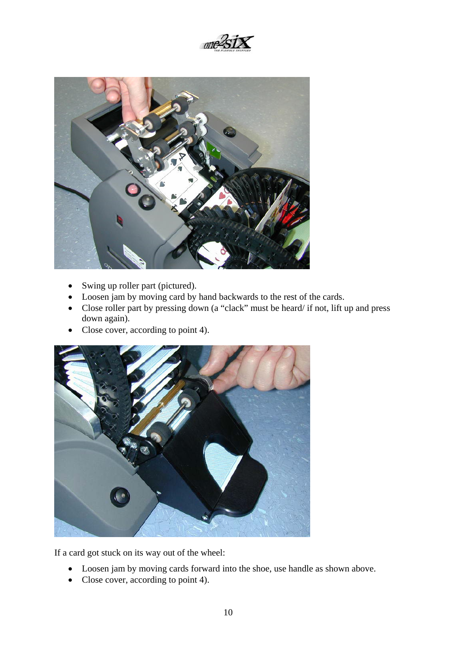



- Swing up roller part (pictured).
- Loosen jam by moving card by hand backwards to the rest of the cards.
- Close roller part by pressing down (a "clack" must be heard/ if not, lift up and press down again).
- Close cover, according to point 4).



If a card got stuck on its way out of the wheel:

- Loosen jam by moving cards forward into the shoe, use handle as shown above.
- Close cover, according to point 4).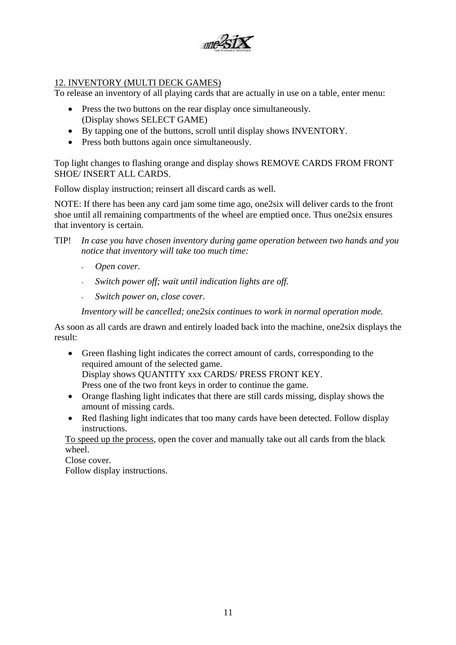

## <span id="page-10-0"></span>12. INVENTORY (MULTI DECK GAMES)

To release an inventory of all playing cards that are actually in use on a table, enter menu:

- Press the two buttons on the rear display once simultaneously. (Display shows SELECT GAME)
- By tapping one of the buttons, scroll until display shows INVENTORY.
- Press both buttons again once simultaneously.

Top light changes to flashing orange and display shows REMOVE CARDS FROM FRONT SHOE/ INSERT ALL CARDS.

Follow display instruction; reinsert all discard cards as well.

NOTE: If there has been any card jam some time ago, one2six will deliver cards to the front shoe until all remaining compartments of the wheel are emptied once. Thus one2six ensures that inventory is certain.

- TIP! *In case you have chosen inventory during game operation between two hands and you notice that inventory will take too much time:* 
	- *Open cover.*
	- *Switch power off; wait until indication lights are off.*
	- *Switch power on, close cover.*

*Inventory will be cancelled; one2six continues to work in normal operation mode.* 

As soon as all cards are drawn and entirely loaded back into the machine, one2six displays the result:

- Green flashing light indicates the correct amount of cards, corresponding to the required amount of the selected game. Display shows QUANTITY xxx CARDS/ PRESS FRONT KEY. Press one of the two front keys in order to continue the game.
- Orange flashing light indicates that there are still cards missing, display shows the amount of missing cards.
- Red flashing light indicates that too many cards have been detected. Follow display instructions.

To speed up the process, open the cover and manually take out all cards from the black wheel.

Close cover. Follow display instructions.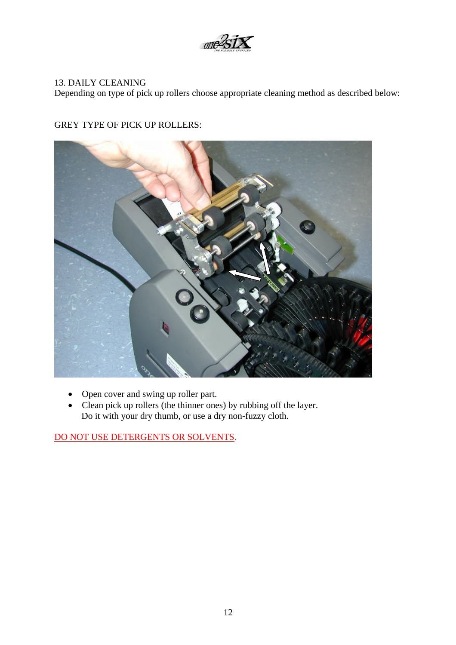

## <span id="page-11-0"></span>13. DAILY CLEANING

Depending on type of pick up rollers choose appropriate cleaning method as described below:

## GREY TYPE OF PICK UP ROLLERS:



- Open cover and swing up roller part.
- Clean pick up rollers (the thinner ones) by rubbing off the layer. Do it with your dry thumb, or use a dry non-fuzzy cloth.

DO NOT USE DETERGENTS OR SOLVENTS.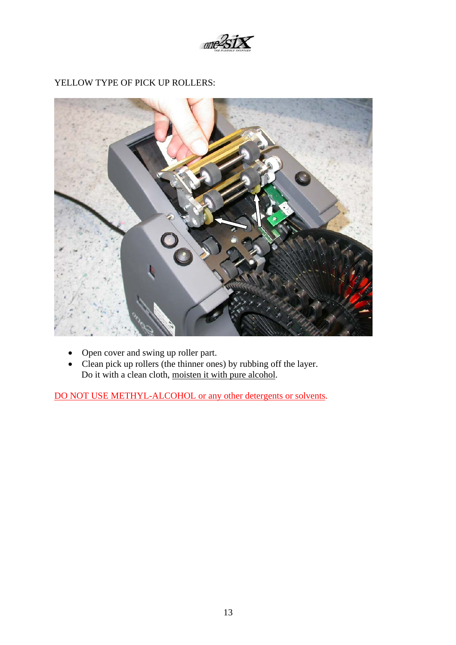

## YELLOW TYPE OF PICK UP ROLLERS:

- Open cover and swing up roller part.
- Clean pick up rollers (the thinner ones) by rubbing off the layer. Do it with a clean cloth, moisten it with pure alcohol.

DO NOT USE METHYL-ALCOHOL or any other detergents or solvents.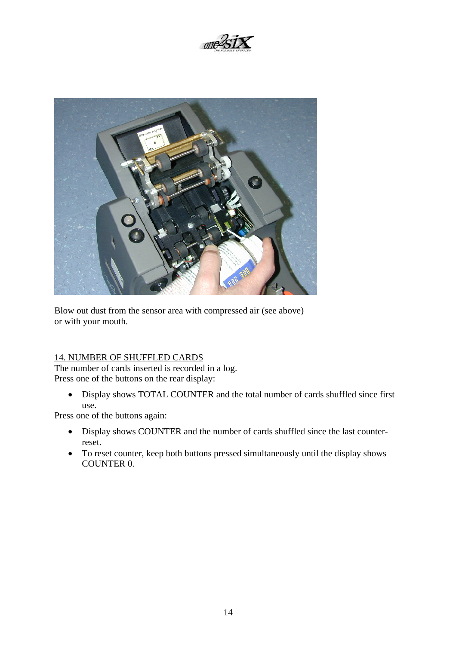

<span id="page-13-0"></span>

Blow out dust from the sensor area with compressed air (see above) or with your mouth.

## 14. NUMBER OF SHUFFLED CARDS

The number of cards inserted is recorded in a log. Press one of the buttons on the rear display:

• Display shows TOTAL COUNTER and the total number of cards shuffled since first use.

Press one of the buttons again:

- Display shows COUNTER and the number of cards shuffled since the last counterreset.
- To reset counter, keep both buttons pressed simultaneously until the display shows COUNTER 0.